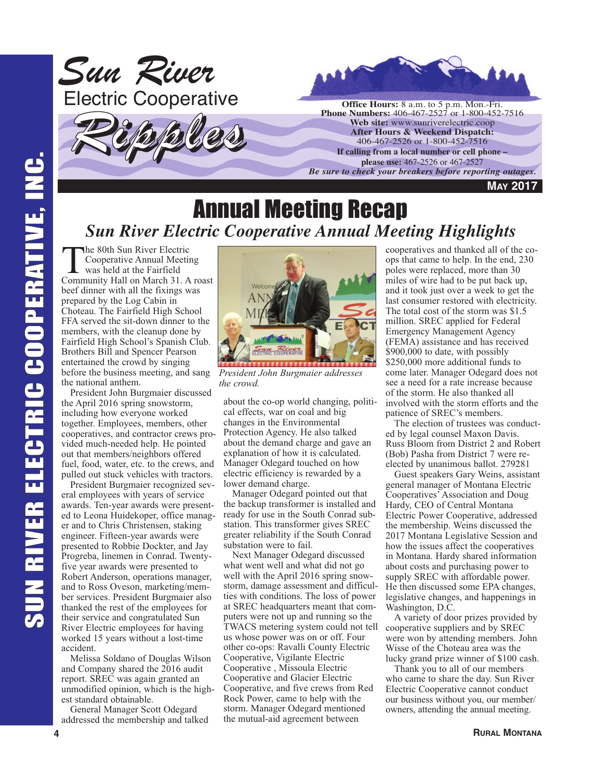

#### Annual Meeting Recap *Sun River Electric Cooperative Annual Meeting Highlights*

The 80th Sun River Electric Cooperative Annual Meeting was held at the Fairfield Community Hall on March 31. A roast beef dinner with all the fixings was prepared by the Log Cabin in Choteau. The Fairfield High School FFA served the sit-down dinner to the members, with the cleanup done by Fairfield High School's Spanish Club. Brothers Bill and Spencer Pearson entertained the crowd by singing before the business meeting, and sang the national anthem.

President John Burgmaier discussed the April 2016 spring snowstorm, including how everyone worked together. Employees, members, other cooperatives, and contractor crews provided much-needed help. He pointed out that members/neighbors offered fuel, food, water, etc. to the crews, and pulled out stuck vehicles with tractors.

President Burgmaier recognized several employees with years of service awards. Ten-year awards were presented to Leona Huidekoper, office manager and to Chris Christensen, staking engineer. Fifteen-year awards were presented to Robbie Dockter, and Jay Progreba, linemen in Conrad. Twentyfive year awards were presented to Robert Anderson, operations manager, and to Ross Oveson, marketing/member services. President Burgmaier also thanked the rest of the employees for their service and congratulated Sun River Electric employees for having worked 15 years without a lost-time accident.

Melissa Soldano of Douglas Wilson and Company shared the 2016 audit report. SREC was again granted an unmodified opinion, which is the highest standard obtainable.

General Manager Scott Odegard addressed the membership and talked



*President John Burgmaier addresses the crowd.*

about the co-op world changing, political effects, war on coal and big changes in the Environmental Protection Agency. He also talked about the demand charge and gave an explanation of how it is calculated. Manager Odegard touched on how electric efficiency is rewarded by a lower demand charge.

Manager Odegard pointed out that the backup transformer is installed and ready for use in the South Conrad substation. This transformer gives SREC greater reliability if the South Conrad substation were to fail.

Next Manager Odegard discussed what went well and what did not go well with the April 2016 spring snowstorm, damage assessment and difficulties with conditions. The loss of power at SREC headquarters meant that computers were not up and running so the TWACS metering system could not tell us whose power was on or off. Four other co-ops: Ravalli County Electric Cooperative, Vigilante Electric Cooperative , Missoula Electric Cooperative and Glacier Electric Cooperative, and five crews from Red Rock Power, came to help with the storm. Manager Odegard mentioned the mutual-aid agreement between

cooperatives and thanked all of the coops that came to help. In the end, 230 poles were replaced, more than 30 miles of wire had to be put back up, and it took just over a week to get the last consumer restored with electricity. The total cost of the storm was \$1.5 million. SREC applied for Federal Emergency Management Agency (FEMA) assistance and has received \$900,000 to date, with possibly \$250,000 more additional funds to come later. Manager Odegard does not see a need for a rate increase because of the storm. He also thanked all involved with the storm efforts and the patience of SREC's members.

The election of trustees was conducted by legal counsel Maxon Davis. Russ Bloom from District 2 and Robert (Bob) Pasha from District 7 were reelected by unanimous ballot. 279281

Guest speakers Gary Weins, assistant general manager of Montana Electric Cooperatives' Association and Doug Hardy, CEO of Central Montana Electric Power Cooperative, addressed the membership. Weins discussed the 2017 Montana Legislative Session and how the issues affect the cooperatives in Montana. Hardy shared information about costs and purchasing power to supply SREC with affordable power. He then discussed some EPA changes, legislative changes, and happenings in Washington, D.C.

A variety of door prizes provided by cooperative suppliers and by SREC were won by attending members. John Wisse of the Choteau area was the lucky grand prize winner of \$100 cash.

Thank you to all of our members who came to share the day. Sun River Electric Cooperative cannot conduct our business without you, our member/ owners, attending the annual meeting.